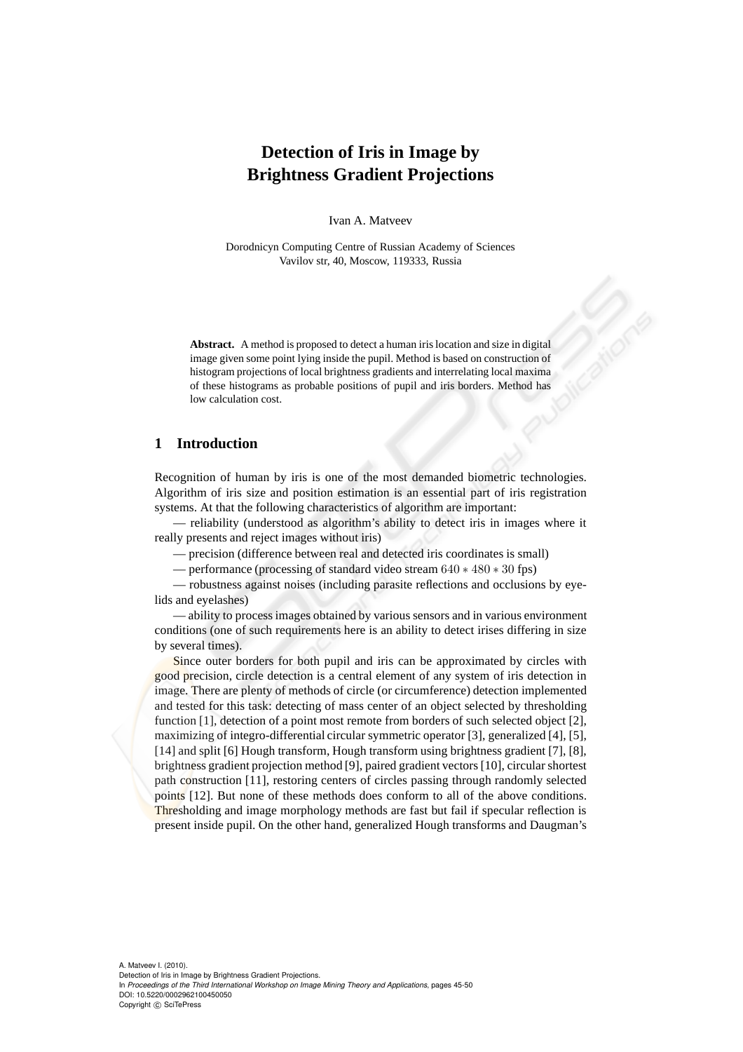# **Detection of Iris in Image by Brightness Gradient Projections**

Ivan A. Matveev

Dorodnicyn Computing Centre of Russian Academy of Sciences Vavilov str, 40, Moscow, 119333, Russia

**Abstract.** A method is proposed to detect a human iris location and size in digital image given some point lying inside the pupil. Method is based on construction of histogram projections of local brightness gradients and interrelating local maxima of these histograms as probable positions of pupil and iris borders. Method has low calculation cost.

## **1 Introduction**

Recognition of human by iris is one of the most demanded biometric technologies. Algorithm of iris size and position estimation is an essential part of iris registration systems. At that the following characteristics of algorithm are important:

— reliability (understood as algorithm's ability to detect iris in images where it really presents and reject images without iris)

— precision (difference between real and detected iris coordinates is small)

— performance (processing of standard video stream 640 ∗ 480 ∗ 30 fps)

— robustness against noises (including parasite reflections and occlusions by eyelids and eyelashes)

— ability to process images obtained by various sensors and in various environment conditions (one of such requirements here is an ability to detect irises differing in size by several times).

Since outer borders for both pupil and iris can be approximated by circles with good precision, circle detection is a central element of any system of iris detection in image. There are plenty of methods of circle (or circumference) detection implemented and tested for this task: detecting of mass center of an object selected by thresholding function [1], detection of a point most remote from borders of such selected object [2], maximizing of integro-differential circular symmetric operator [3], generalized [4], [5], [14] and split [6] Hough transform, Hough transform using brightness gradient [7], [8], brightness gradient projection method [9], paired gradient vectors [10], circular shortest path construction [11], restoring centers of circles passing through randomly selected points [12]. But none of these methods does conform to all of the above conditions. Thresholding and image morphology methods are fast but fail if specular reflection is present inside pupil. On the other hand, generalized Hough transforms and Daugman's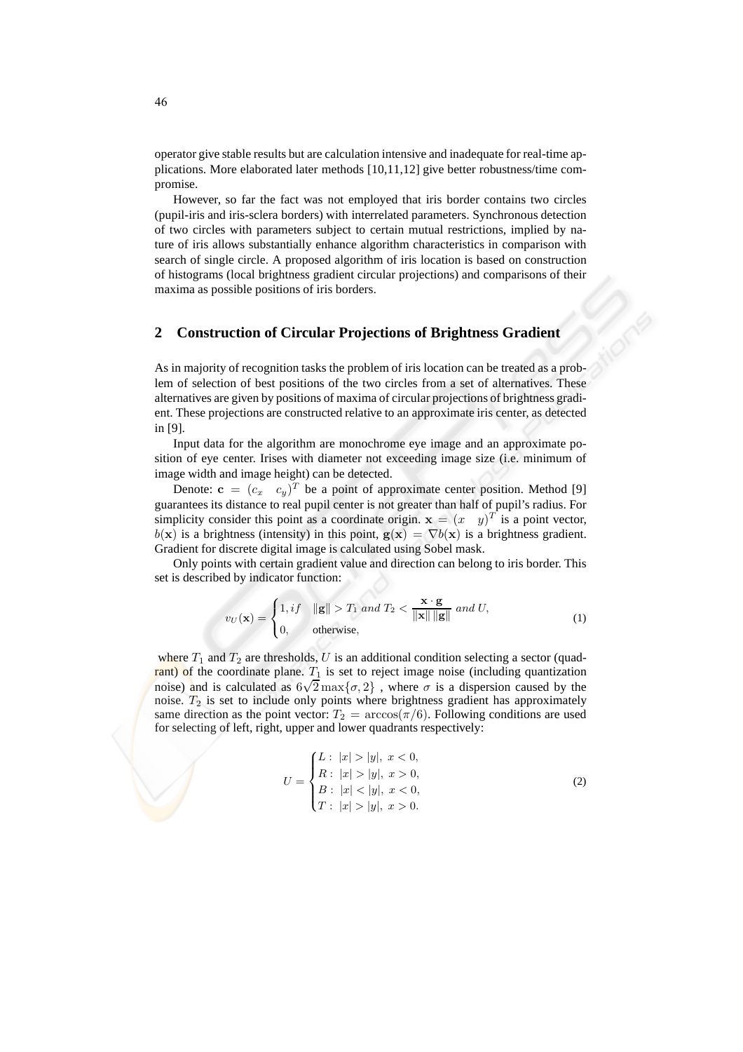operator give stable results but are calculation intensive and inadequate for real-time applications. More elaborated later methods [10,11,12] give better robustness/time compromise.

However, so far the fact was not employed that iris border contains two circles (pupil-iris and iris-sclera borders) with interrelated parameters. Synchronous detection of two circles with parameters subject to certain mutual restrictions, implied by nature of iris allows substantially enhance algorithm characteristics in comparison with search of single circle. A proposed algorithm of iris location is based on construction of histograms (local brightness gradient circular projections) and comparisons of their maxima as possible positions of iris borders.

## **2 Construction of Circular Projections of Brightness Gradient**

As in majority of recognition tasks the problem of iris location can be treated as a problem of selection of best positions of the two circles from a set of alternatives. These alternatives are given by positions of maxima of circular projections of brightness gradient. These projections are constructed relative to an approximate iris center, as detected in [9].

Input data for the algorithm are monochrome eye image and an approximate position of eye center. Irises with diameter not exceeding image size (i.e. minimum of image width and image height) can be detected.

Denote:  $\mathbf{c} = (c_x \ c_y)^T$  be a point of approximate center position. Method [9] guarantees its distance to real pupil center is not greater than half of pupil's radius. For simplicity consider this point as a coordinate origin.  $\mathbf{x} = (x \quad y)^T$  is a point vector,  $b(x)$  is a brightness (intensity) in this point,  $g(x) = \nabla b(x)$  is a brightness gradient. Gradient for discrete digital image is calculated using Sobel mask.

Only points with certain gradient value and direction can belong to iris border. This set is described by indicator function:

$$
v_U(\mathbf{x}) = \begin{cases} 1, if & \|\mathbf{g}\| > T_1 \text{ and } T_2 < \frac{\mathbf{x} \cdot \mathbf{g}}{\|\mathbf{x}\| \|\mathbf{g}\|} \text{ and } U, \\ 0, & \text{otherwise,} \end{cases}
$$
(1)

where  $T_1$  and  $T_2$  are thresholds, U is an additional condition selecting a sector (quadrant) of the coordinate plane.  $T_1$  is set to reject image noise (including quantization noise) and is calculated as  $6\sqrt{2}$  max $\{\sigma, 2\}$ , where  $\sigma$  is a dispersion caused by the noise.  $T_2$  is set to include only points where brightness gradient has approximately same direction as the point vector:  $T_2 = \arccos(\pi/6)$ . Following conditions are used for selecting of left, right, upper and lower quadrants respectively:

$$
U = \begin{cases} L: |x| > |y|, x < 0, \\ R: |x| > |y|, x > 0, \\ B: |x| < |y|, x < 0, \\ T: |x| > |y|, x > 0. \end{cases}
$$
(2)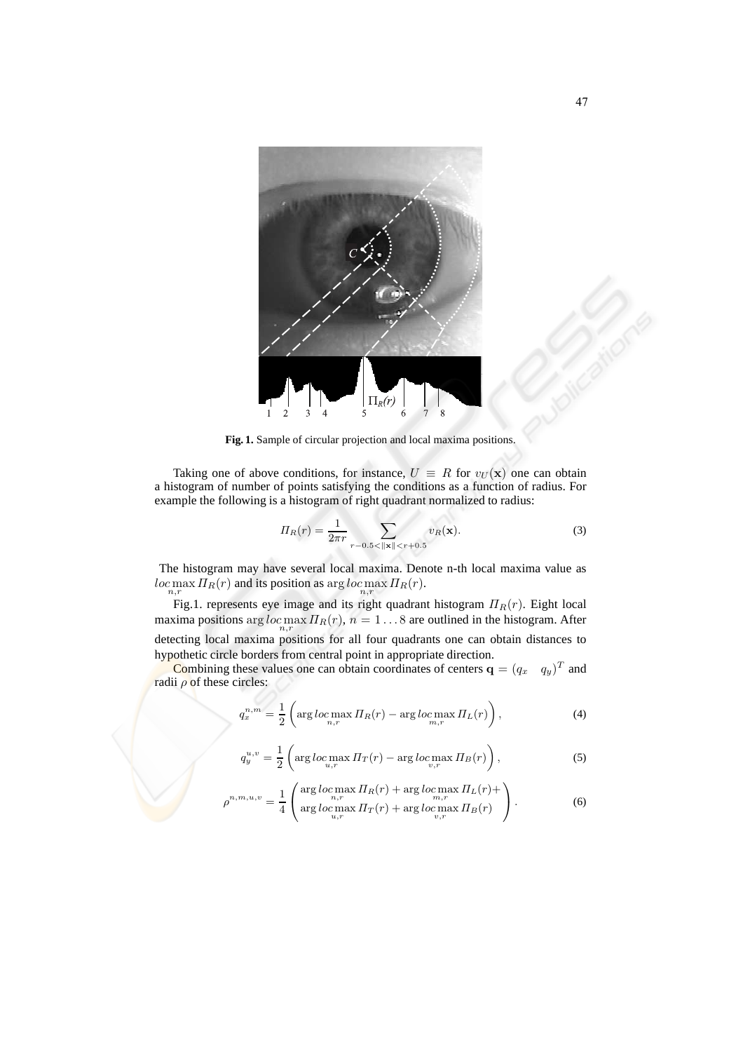

**Fig. 1.** Sample of circular projection and local maxima positions.

Taking one of above conditions, for instance,  $U = R$  for  $v_{U}(\mathbf{x})$  one can obtain a histogram of number of points satisfying the conditions as a function of radius. For example the following is a histogram of right quadrant normalized to radius:

$$
\Pi_R(r) = \frac{1}{2\pi r} \sum_{r-0.5 < ||\mathbf{x}|| < r+0.5} v_R(\mathbf{x}).\tag{3}
$$

The histogram may have several local maxima. Denote n-th local maxima value as  $loc \max_{n,r} \prod_R(r)$  and its position as  $\arg loc \max_{n,r} \prod_R(r)$ .

Fig.1. represents eye image and its right quadrant histogram  $\Pi_R(r)$ . Eight local maxima positions arg  $loc \max_{n,r} \prod_R(r)$ ,  $n = 1...8$  are outlined in the histogram. After detecting local maxima positions for all four quadrants one can obtain distances to hypothetic circle borders from central point in appropriate direction.

Combining these values one can obtain coordinates of centers  $\mathbf{q} = (q_x \ q_y)^T$  and radii  $\rho$  of these circles:

$$
q_x^{n,m} = \frac{1}{2} \left( \arg \log \max_{n,r} \Pi_R(r) - \arg \log \max_{m,r} \Pi_L(r) \right),\tag{4}
$$

$$
q_y^{u,v} = \frac{1}{2} \left( \arg \log \max_{u,r} \Pi_T(r) - \arg \log \max_{v,r} \Pi_B(r) \right),\tag{5}
$$

$$
\rho^{n,m,u,v} = \frac{1}{4} \left( \operatorname*{arg}_{n,r} \frac{\log \log \max_{n,r} \prod_{R}(r) + \operatorname*{arg}_{n,r} \log \max_{n,r} \prod_{L}(r) + \operatorname*{arg}_{u,r} \log \max_{u,r} \prod_{R}(r) \right). \tag{6}
$$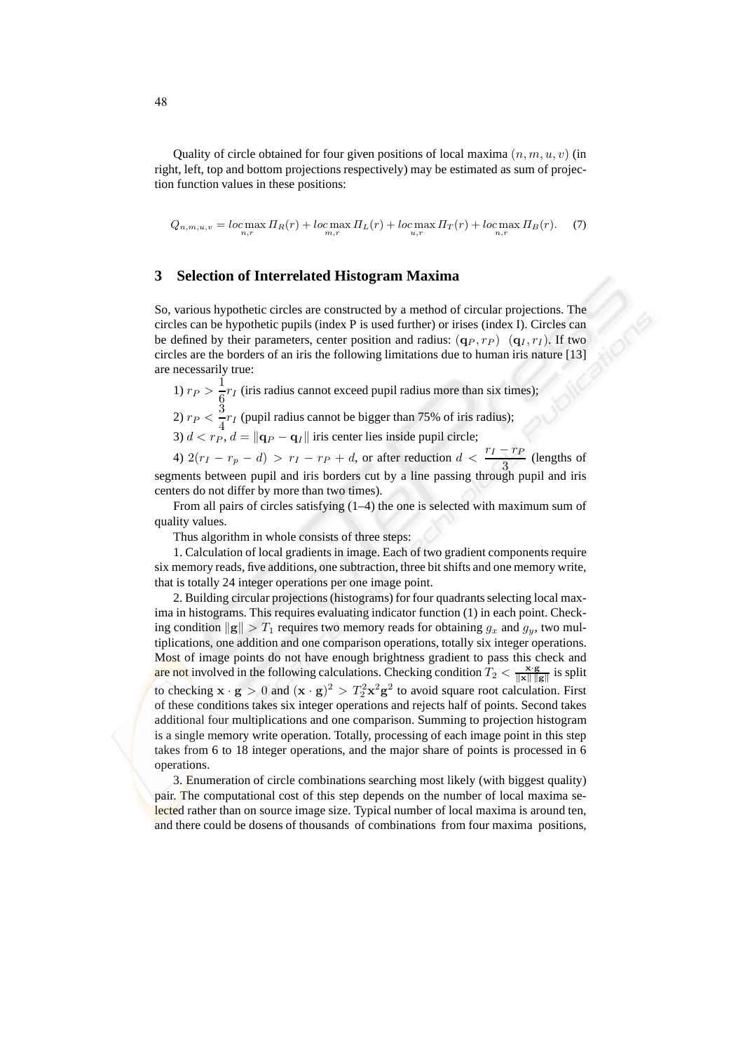Quality of circle obtained for four given positions of local maxima  $(n, m, u, v)$  (in right, left, top and bottom projections respectively) may be estimated as sum of projection function values in these positions:

$$
Q_{n,m,u,v} = \log \max_{n,r} \prod_{R}(r) + \log \max_{m,r} \prod_{L}(r) + \log \max_{u,r} \prod_{T}(r) + \log \max_{n,r} \prod_{B}(r). \tag{7}
$$

#### **3 Selection of Interrelated Histogram Maxima**

So, various hypothetic circles are constructed by a method of circular projections. The circles can be hypothetic pupils (index P is used further) or irises (index I). Circles can be defined by their parameters, center position and radius:  $(q_P, r_P)$   $(q_I, r_I)$ . If two circles are the borders of an iris the following limitations due to human iris nature [13] are necessarily true:

1)  $r_P > \frac{1}{c}$  $\frac{1}{6}r_I$  (iris radius cannot exceed pupil radius more than six times);

2)  $r_P < \frac{3}{4}$  $\frac{1}{4}r_I$  (pupil radius cannot be bigger than 75% of iris radius);

3)  $d < r_P$ ,  $d = ||\mathbf{q}_P - \mathbf{q}_I||$  iris center lies inside pupil circle;

4)  $2(r_I - r_p - d) > r_I - r_P + d$ , or after reduction  $d < \frac{r_I - r_P}{3}$  (lengths of segments between pupil and iris borders cut by a line passing through pupil and iris centers do not differ by more than two times).

From all pairs of circles satisfying (1–4) the one is selected with maximum sum of quality values.

Thus algorithm in whole consists of three steps:

1. Calculation of local gradients in image. Each of two gradient components require six memory reads, five additions, one subtraction, three bit shifts and one memory write, that is totally 24 integer operations per one image point.

2. Building circular projections (histograms) for four quadrants selecting local maxima in histograms. This requires evaluating indicator function (1) in each point. Checking condition  $\|g\| > T_1$  requires two memory reads for obtaining  $g_x$  and  $g_y$ , two multiplications, one addition and one comparison operations, totally six integer operations. Most of image points do not have enough brightness gradient to pass this check and are not involved in the following calculations. Checking condition  $T_2 < \frac{x \cdot g}{\|x\| \|g\|}$  is split to checking  $\mathbf{x} \cdot \mathbf{g} > 0$  and  $(\mathbf{x} \cdot \mathbf{g})^2 > T_2^2 \mathbf{x}^2 \mathbf{g}^2$  to avoid square root calculation. First of these conditions takes six integer operations and rejects half of points. Second takes additional four multiplications and one comparison. Summing to projection histogram is a single memory write operation. Totally, processing of each image point in this step takes from 6 to 18 integer operations, and the major share of points is processed in 6 operations.

3. Enumeration of circle combinations searching most likely (with biggest quality) pair. The computational cost of this step depends on the number of local maxima selected rather than on source image size. Typical number of local maxima is around ten, and there could be dosens of thousands of combinations from four maxima positions,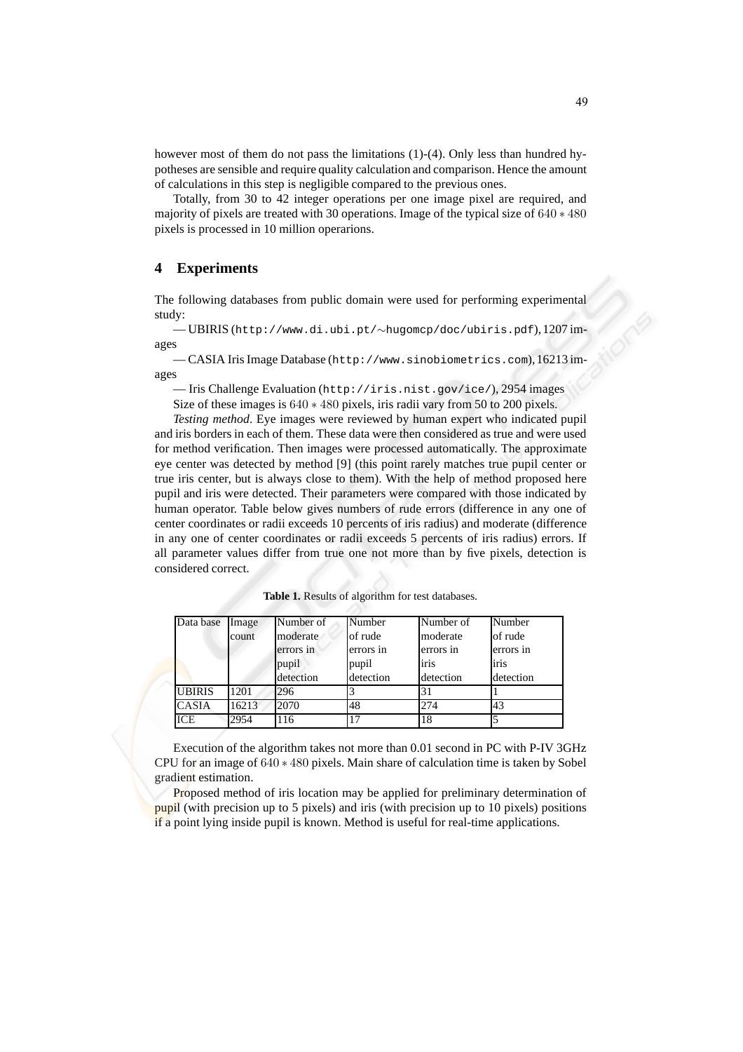however most of them do not pass the limitations (1)-(4). Only less than hundred hypotheses are sensible and require quality calculation and comparison. Hence the amount of calculations in this step is negligible compared to the previous ones.

Totally, from 30 to 42 integer operations per one image pixel are required, and majority of pixels are treated with 30 operations. Image of the typical size of 640 ∗ 480 pixels is processed in 10 million operarions.

## **4 Experiments**

The following databases from public domain were used for performing experimental study:

— UBIRIS (http://www.di.ubi.pt/∼hugomcp/doc/ubiris.pdf),1207 images

— CASIA Iris Image Database (http://www.sinobiometrics.com),16213 images

— Iris Challenge Evaluation (http://iris.nist.gov/ice/), 2954 images

Size of these images is 640 ∗ 480 pixels, iris radii vary from 50 to 200 pixels.

*Testing method*. Eye images were reviewed by human expert who indicated pupil and iris borders in each of them. These data were then considered as true and were used for method verification. Then images were processed automatically. The approximate eye center was detected by method [9] (this point rarely matches true pupil center or true iris center, but is always close to them). With the help of method proposed here pupil and iris were detected. Their parameters were compared with those indicated by human operator. Table below gives numbers of rude errors (difference in any one of center coordinates or radii exceeds 10 percents of iris radius) and moderate (difference in any one of center coordinates or radii exceeds 5 percents of iris radius) errors. If all parameter values differ from true one not more than by five pixels, detection is considered correct.

| Data base     | Image | Number of | Number    | Number of | Number    |
|---------------|-------|-----------|-----------|-----------|-----------|
|               | count | moderate  | of rude   | moderate  | of rude   |
|               |       | errors in | errors in | errors in | errors in |
|               |       | pupil     | pupil     | iris      | iris      |
|               |       | detection | detection | detection | detection |
| <b>UBIRIS</b> | 1201  | 296       |           |           |           |
| <b>CASIA</b>  | 16213 | 2070      | 48        | 274       | 43        |
| ICE           | 2954  | 116       | 17        | 18        |           |

**Table 1.** Results of algorithm for test databases.

Execution of the algorithm takes not more than 0.01 second in PC with P-IV 3GHz CPU for an image of 640 ∗ 480 pixels. Main share of calculation time is taken by Sobel gradient estimation.

Proposed method of iris location may be applied for preliminary determination of pupil (with precision up to 5 pixels) and iris (with precision up to 10 pixels) positions if a point lying inside pupil is known. Method is useful for real-time applications.